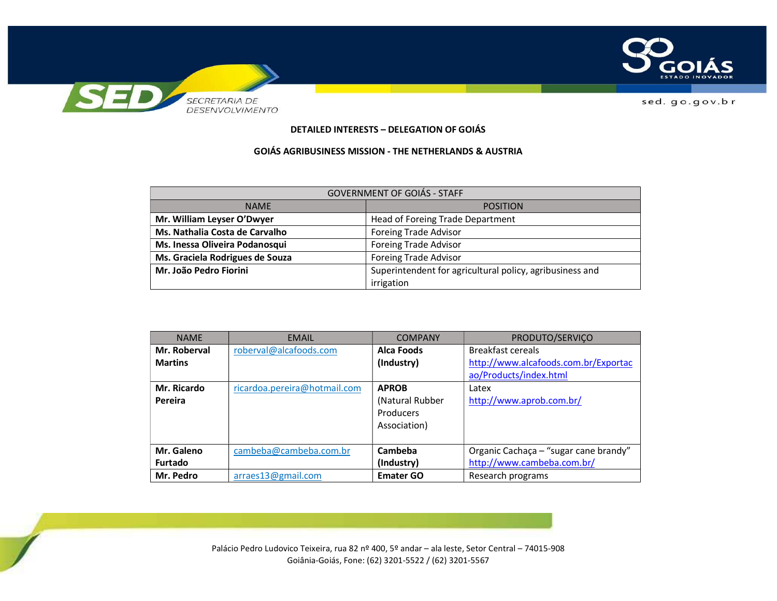

## **DETAILED INTERESTS – DELEGATION OF GOIÁS**

## **GOIÁS AGRIBUSINESS MISSION - THE NETHERLANDS & AUSTRIA**

| <b>GOVERNMENT OF GOIÁS - STAFF</b> |                                                          |  |  |
|------------------------------------|----------------------------------------------------------|--|--|
| <b>NAME</b>                        | <b>POSITION</b>                                          |  |  |
| Mr. William Leyser O'Dwyer         | Head of Foreing Trade Department                         |  |  |
| Ms. Nathalia Costa de Carvalho     | <b>Foreing Trade Advisor</b>                             |  |  |
| Ms. Inessa Oliveira Podanosqui     | <b>Foreing Trade Advisor</b>                             |  |  |
| Ms. Graciela Rodrigues de Souza    | <b>Foreing Trade Advisor</b>                             |  |  |
| Mr. João Pedro Fiorini             | Superintendent for agricultural policy, agribusiness and |  |  |
|                                    | irrigation                                               |  |  |

| <b>NAME</b>    | <b>EMAIL</b>                 | <b>COMPANY</b>   | PRODUTO/SERVIÇO                       |
|----------------|------------------------------|------------------|---------------------------------------|
| Mr. Roberval   | roberval@alcafoods.com       | Alca Foods       | Breakfast cereals                     |
| <b>Martins</b> |                              | (Industry)       | http://www.alcafoods.com.br/Exportac  |
|                |                              |                  | ao/Products/index.html                |
| Mr. Ricardo    | ricardoa.pereira@hotmail.com | <b>APROB</b>     | Latex                                 |
| Pereira        |                              | (Natural Rubber  | http://www.aprob.com.br/              |
|                |                              | Producers        |                                       |
|                |                              | Association)     |                                       |
|                |                              |                  |                                       |
| Mr. Galeno     | cambeba@cambeba.com.br       | Cambeba          | Organic Cachaça - "sugar cane brandy" |
| <b>Furtado</b> |                              | (Industry)       | http://www.cambeba.com.br/            |
| Mr. Pedro      | arraes13@gmail.com           | <b>Emater GO</b> | Research programs                     |